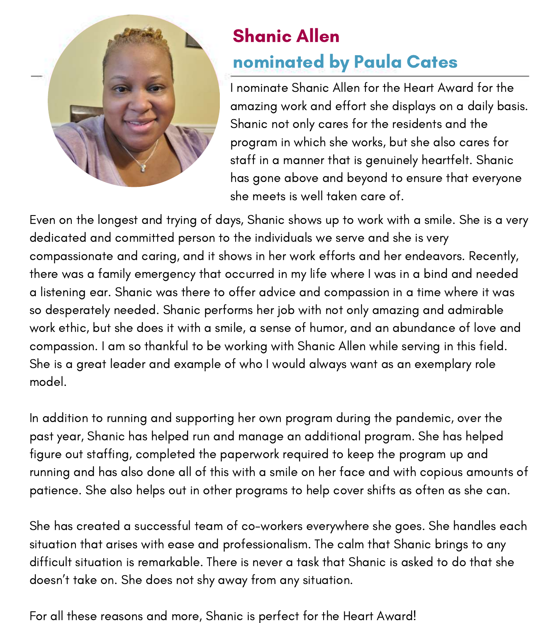

### Shanic Allen nominated by Paula Cates

I nominate Shanic Allen for the Heart Award for the amazing work and effort she displays on a daily basis. Shanic not only cares for the residents and the program in which she works, but she also cares for staff in a manner that is genuinely heartfelt. Shanic has gone above and beyond to ensure that everyone she meets is well taken care of.

Even on the longest and trying of days, Shanic shows up to work with a smile. She is a very dedicated and committed person to the individuals we serve and she is very compassionate and caring, and it shows in her work efforts and her endeavors. Recently, there was a family emergency that occurred in my life where I was in a bind and needed a listening ear. Shanic was there to offer advice and compassion in a time where it was so desperately needed. Shanic performs her job with not only amazing and admirable work ethic, but she does it with a smile, a sense of humor, and an abundance of love and compassion. I am so thankful to be working with Shanic Allen while serving in this field. She is a great leader and example of who I would always want as an exemplary role model.

In addition to running and supporting her own program during the pandemic, over the past year, Shanic has helped run and manage an additional program. She has helped figure out staffing, completed the paperwork required to keep the program up and running and has also done all of this with a smile on her face and with copious amounts of patience. She also helps out in other programs to help cover shifts as often as she can.

She has created a successful team of co-workers everywhere she goes. She handles each situation that arises with ease and professionalism. The calm that Shanic brings to any difficult situation is remarkable. There is never a task that Shanic is asked to do that she doesn't take on. She does not shy away from any situation.

For all these reasons and more, Shanic is perfect for the Heart Award!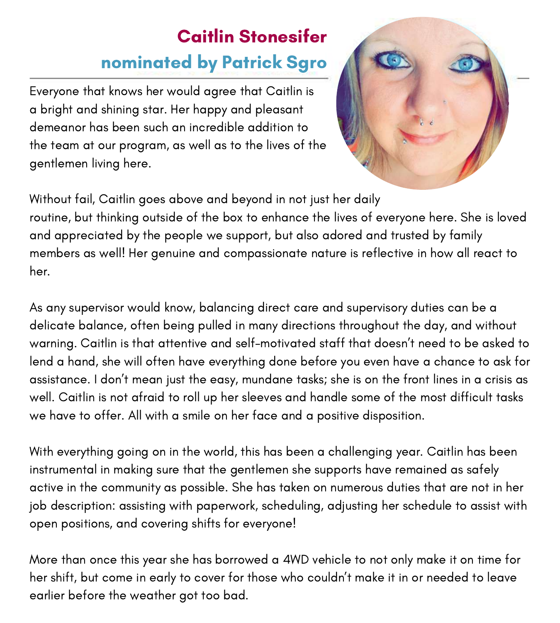# Caitlin Stonesifer nominated by Patrick Sgro

Everyone that knows her would agree that Caitlin is a bright and shining star. Her happy and pleasant demeanor has been such an incredible addition to the team at our program, as well as to the lives of the gentlemen living here.



Without fail, Caitlin goes above and beyond in not just her daily routine, but thinking outside of the box to enhance the lives of everyone here. She is loved and appreciated by the people we support, but also adored and trusted by family members as well! Her genuine and compassionate nature is reflective in how all react to her.

As any supervisor would know, balancing direct care and supervisory duties can be a delicate balance, often being pulled in many directions throughout the day, and without warning. Caitlin is that attentive and self-motivated staff that doesn't need to be asked to lend a hand, she will often have everything done before you even have a chance to ask for assistance. I don't mean just the easy, mundane tasks; she is on the front lines in a crisis as well. Caitlin is not afraid to roll up her sleeves and handle some of the most difficult tasks we have to offer. All with a smile on her face and a positive disposition.

With everything going on in the world, this has been a challenging year. Caitlin has been instrumental in making sure that the gentlemen she supports have remained as safely active in the community as possible. She has taken on numerous duties that are not in her job description: assisting with paperwork, scheduling, adjusting her schedule to assist with open positions, and covering shifts for everyone!

More than once this year she has borrowed a 4WD vehicle to not only make it on time for her shift, but come in early to cover for those who couldn't make it in or needed to leave earlier before the weather got too bad.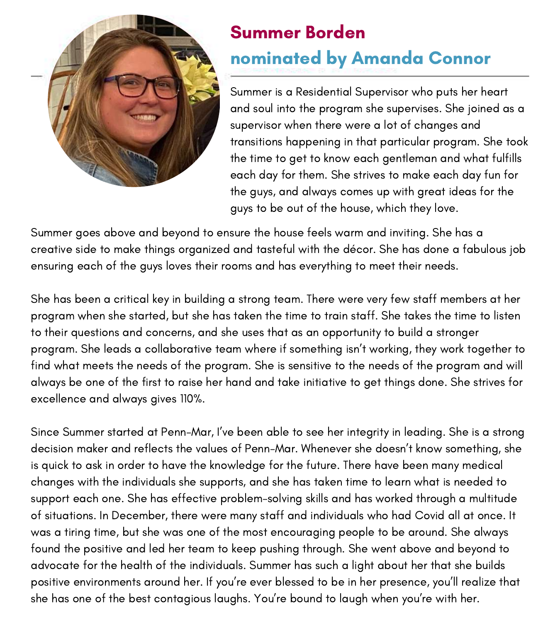

## Summer Borden nominated by Amanda Connor

Summer is a Residential Supervisor who puts her heart and soul into the program she supervises. She joined as a supervisor when there were a lot of changes and transitions happening in that particular program. She took the time to get to know each gentleman and what fulfills each day for them. She strives to make each day fun for the guys, and always comes up with great ideas for the guys to be out of the house, which they love.

Summer goes above and beyond to ensure the house feels warm and inviting. She has a creative side to make things organized and tasteful with the décor. She has done a fabulous job ensuring each of the guys loves their rooms and has everything to meet their needs.

She has been a critical key in building a strong team. There were very few staff members at her program when she started, but she has taken the time to train staff. She takes the time to listen to their questions and concerns, and she uses that as an opportunity to build a stronger program. She leads a collaborative team where if something isn't working, they work together to find what meets the needs of the program. She is sensitive to the needs of the program and will always be one of the first to raise her hand and take initiative to get things done. She strives for excellence and always gives 110%.

Since Summer started at Penn-Mar, I've been able to see her integrity in leading. She is a strong decision maker and reflects the values of Penn-Mar. Whenever she doesn't know something, she is quick to ask in order to have the knowledge for the future. There have been many medical changes with the individuals she supports, and she has taken time to learn what is needed to support each one. She has effective problem-solving skills and has worked through a multitude of situations. In December, there were many staff and individuals who had Covid all at once. It was a tiring time, but she was one of the most encouraging people to be around. She always found the positive and led her team to keep pushing through. She went above and beyond to advocate for the health of the individuals. Summer has such a light about her that she builds positive environments around her. If you're ever blessed to be in her presence, you'll realize that she has one of the best contagious laughs. You're bound to laugh when you're with her.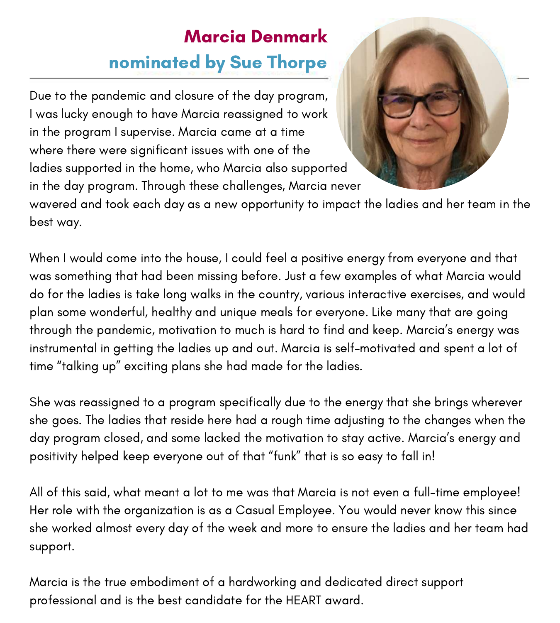# Marcia Denmark nominated by Sue Thorpe

Due to the pandemic and closure of the day program, I was lucky enough to have Marcia reassigned to work in the program I supervise. Marcia came at a time where there were significant issues with one of the ladies supported in the home, who Marcia also supported in the day program. Through these challenges, Marcia never



wavered and took each day as a new opportunity to impact the ladies and her team in the best way.

When I would come into the house, I could feel a positive energy from everyone and that was something that had been missing before. Just a few examples of what Marcia would do for the ladies is take long walks in the country, various interactive exercises, and would plan some wonderful, healthy and unique meals for everyone. Like many that are going through the pandemic, motivation to much is hard to find and keep. Marcia's energy was instrumental in getting the ladies up and out. Marcia is self-motivated and spent a lot of time "talking up" exciting plans she had made for the ladies.

She was reassigned to a program specifically due to the energy that she brings wherever she goes. The ladies that reside here had a rough time adjusting to the changes when the day program closed, and some lacked the motivation to stay active. Marcia's energy and positivity helped keep everyone out of that "funk" that is so easy to fall in!

All of this said, what meant a lot to me was that Marcia is not even a full-time employee! Her role with the organization is as a Casual Employee. You would never know this since she worked almost every day of the week and more to ensure the ladies and her team had support.

Marcia is the true embodiment of a hardworking and dedicated direct support professional and is the best candidate for the HEART award.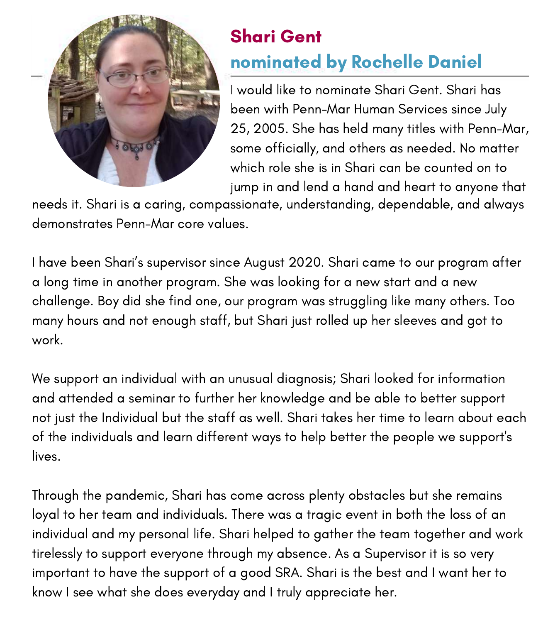

#### Shari Gent nominated by Rochelle Daniel

I would like to nominate Shari Gent. Shari has been with Penn-Mar Human Services since July 25, 2005. She has held many titles with Penn-Mar, some officially, and others as needed. No matter which role she is in Shari can be counted on to jump in and lend a hand and heart to anyone that

needs it. Shari is a caring, compassionate, understanding, dependable, and always demonstrates Penn-Mar core values.

I have been Shari's supervisor since August 2020. Shari came to our program after a long time in another program. She was looking for a new start and a new challenge. Boy did she find one, our program was struggling like many others. Too many hours and not enough staff, but Shari just rolled up her sleeves and got to work.

We support an individual with an unusual diagnosis; Shari looked for information and attended a seminar to further her knowledge and be able to better support not just the Individual but the staff as well. Shari takes her time to learn about each of the individuals and learn different ways to help better the people we support's lives.

Through the pandemic, Shari has come across plenty obstacles but she remains loyal to her team and individuals. There was a tragic event in both the loss of an individual and my personal life. Shari helped to gather the team together and work tirelessly to support everyone through my absence. As a Supervisor it is so very important to have the support of a good SRA. Shari is the best and I want her to know I see what she does everyday and I truly appreciate her.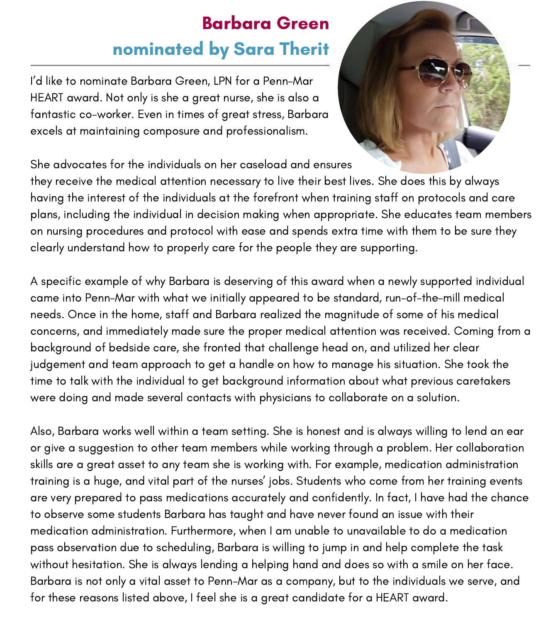#### Barbara Green nominated by Sara Therit

I'd like to nominate Barbara Green, LPN for a Penn-Mar HEART award. Not only is she a great nurse, she is also a fantastic co-worker. Even in times of great stress, Barbara excels at maintaining composure and professionalism.



She advocates for the individuals on her caseload and ensures

they receive the medical attention necessary to live their best lives. She does this by always having the interest of the individuals at the forefront when training staff on protocols and care plans, including the individual in decision making when appropriate. She educates team members on nursing procedures and protocol with ease and spends extra time with them to be sure they clearly understand how to properly care for the people they are supporting.

A specific example of why Barbara is deserving of this award when a newly supported individual came into Penn-Mar with what we initially appeared to be standard, run-of-the-mill medical needs. Once in the home, staff and Barbara realized the magnitude of some of his medical concerns, and immediately made sure the proper medical attention was received. Coming from a background of bedside care, she fronted that challenge head on, and utilized her clear judgement and team approach to get a handle on how to manage his situation. She took the time to talk with the individual to get background information about what previous caretakers were doing and made several contacts with physicians to collaborate on a solution.

Also, Barbara works well within a team setting. She is honest and is always willing to lend an ear or give a suggestion to other team members while working through a problem. Her collaboration skills are a great asset to any team she is working with. For example, medication administration training is a huge, and vital part of the nurses' jobs. Students who come from her training events are very prepared to pass medications accurately and confidently. In fact, I have had the chance to observe some students Barbara has taught and have never found an issue with their medication administration. Furthermore, when I am unable to unavailable to do a medication pass observation due to scheduling, Barbara is willing to jump in and help complete the task without hesitation. She is always lending a helping hand and does so with a smile on her face. Barbara is not only a vital asset to Penn-Mar as a company, but to the individuals we serve, and for these reasons listed above, I feel she is a great candidate for a HEART award.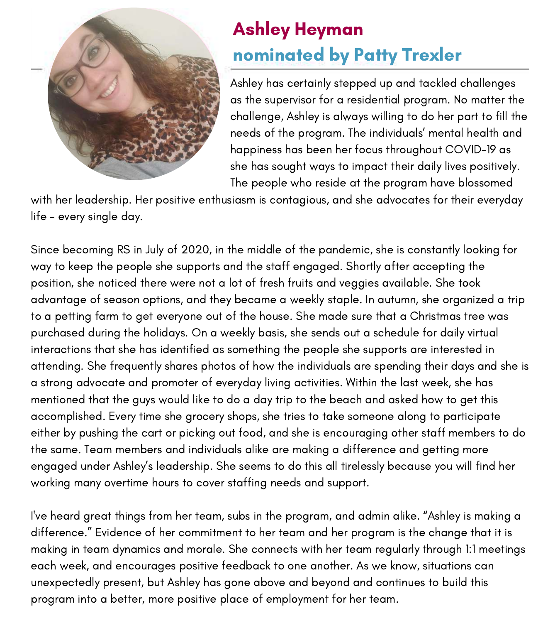

#### Ashley Heyman nominated by Patty Trexler

Ashley has certainly stepped up and tackled challenges as the supervisor for a residential program. No matter the challenge, Ashley is always willing to do her part to fill the needs of the program. The individuals' mental health and happiness has been her focus throughout COVID-19 as she has sought ways to impact their daily lives positively. The people who reside at the program have blossomed

with her leadership. Her positive enthusiasm is contagious, and she advocates for their everyday life – every single day.

Since becoming RS in July of 2020, in the middle of the pandemic, she is constantly looking for way to keep the people she supports and the staff engaged. Shortly after accepting the position, she noticed there were not a lot of fresh fruits and veggies available. She took advantage of season options, and they became a weekly staple. In autumn, she organized a trip to a petting farm to get everyone out of the house. She made sure that a Christmas tree was purchased during the holidays. On a weekly basis, she sends out a schedule for daily virtual interactions that she has identified as something the people she supports are interested in attending. She frequently shares photos of how the individuals are spending their days and she is a strong advocate and promoter of everyday living activities. Within the last week, she has mentioned that the guys would like to do a day trip to the beach and asked how to get this accomplished. Every time she grocery shops, she tries to take someone along to participate either by pushing the cart or picking out food, and she is encouraging other staff members to do the same. Team members and individuals alike are making a difference and getting more engaged under Ashley's leadership. She seems to do this all tirelessly because you will find her working many overtime hours to cover staffing needs and support.

I've heard great things from her team, subs in the program, and admin alike. "Ashley is making a difference." Evidence of her commitment to her team and her program is the change that it is making in team dynamics and morale. She connects with her team regularly through 1:1 meetings each week, and encourages positive feedback to one another. As we know, situations can unexpectedly present, but Ashley has gone above and beyond and continues to build this program into a better, more positive place of employment for her team.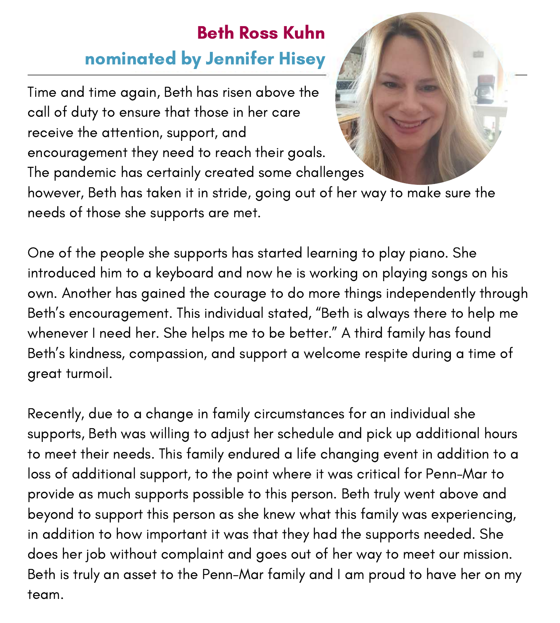#### Beth Ross Kuhn nominated by Jennifer Hisey

Time and time again, Beth has risen above the call of duty to ensure that those in her care receive the attention, support, and encouragement they need to reach their goals.

The pandemic has certainly created some challenges

however, Beth has taken it in stride, going out of her way to make sure the needs of those she supports are met.

One of the people she supports has started learning to play piano. She introduced him to a keyboard and now he is working on playing songs on his own. Another has gained the courage to do more things independently through Beth's encouragement. This individual stated, "Beth is always there to help me whenever I need her. She helps me to be better." A third family has found Beth's kindness, compassion, and support a welcome respite during a time of great turmoil.

Recently, due to a change in family circumstances for an individual she supports, Beth was willing to adjust her schedule and pick up additional hours to meet their needs. This family endured a life changing event in addition to a loss of additional support, to the point where it was critical for Penn-Mar to provide as much supports possible to this person. Beth truly went above and beyond to support this person as she knew what this family was experiencing, in addition to how important it was that they had the supports needed. She does her job without complaint and goes out of her way to meet our mission. Beth is truly an asset to the Penn-Mar family and I am proud to have her on my team.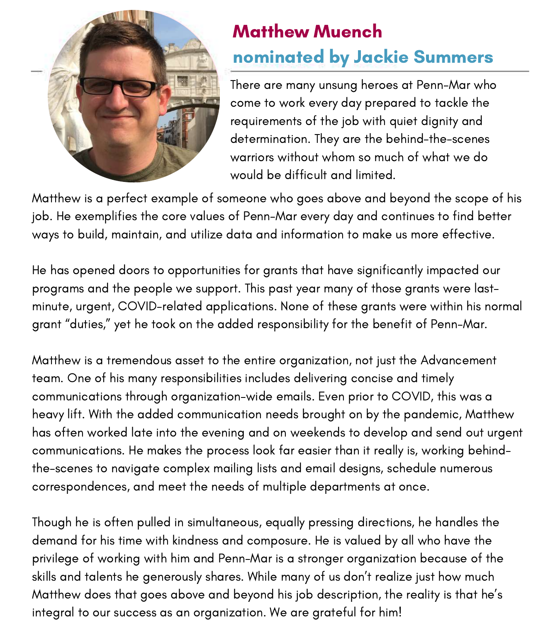

#### Matthew Muench nominated by Jackie Summers

There are many unsung heroes at Penn-Mar who come to work every day prepared to tackle the requirements of the job with quiet dignity and determination. They are the behind-the-scenes warriors without whom so much of what we do would be difficult and limited.

Matthew is a perfect example of someone who goes above and beyond the scope of his job. He exemplifies the core values of Penn-Mar every day and continues to find better ways to build, maintain, and utilize data and information to make us more effective.

He has opened doors to opportunities for grants that have significantly impacted our programs and the people we support. This past year many of those grants were lastminute, urgent, COVID-related applications. None of these grants were within his normal grant "duties," yet he took on the added responsibility for the benefit of Penn-Mar.

Matthew is a tremendous asset to the entire organization, not just the Advancement team. One of his many responsibilities includes delivering concise and timely communications through organization-wide emails. Even prior to COVID, this was a heavy lift. With the added communication needs brought on by the pandemic, Matthew has often worked late into the evening and on weekends to develop and send out urgent communications. He makes the process look far easier than it really is, working behindthe-scenes to navigate complex mailing lists and email designs, schedule numerous correspondences, and meet the needs of multiple departments at once.

Though he is often pulled in simultaneous, equally pressing directions, he handles the demand for his time with kindness and composure. He is valued by all who have the privilege of working with him and Penn-Mar is a stronger organization because of the skills and talents he generously shares. While many of us don't realize just how much Matthew does that goes above and beyond his job description, the reality is that he's integral to our success as an organization. We are grateful for him!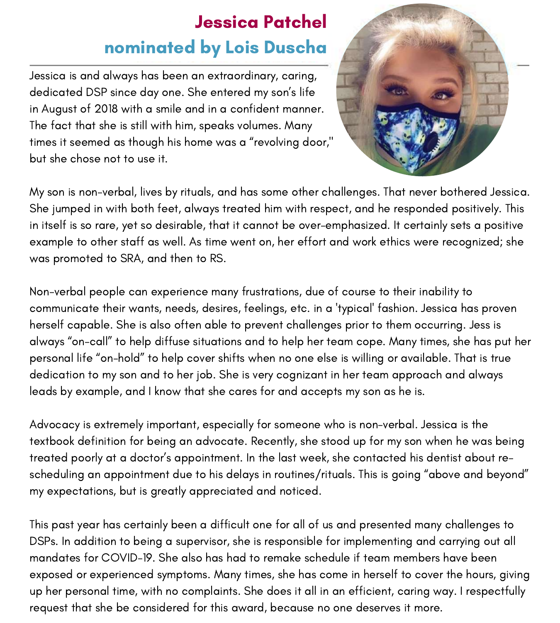#### Jessica Patchel nominated by Lois Duscha

Jessica is and always has been an extraordinary, caring, dedicated DSP since day one. She entered my son's life in August of 2018 with a smile and in a confident manner. The fact that she is still with him, speaks volumes. Many times it seemed as though his home was a "revolving door," but she chose not to use it.



My son is non-verbal, lives by rituals, and has some other challenges. That never bothered Jessica. She jumped in with both feet, always treated him with respect, and he responded positively. This in itself is so rare, yet so desirable, that it cannot be over-emphasized. It certainly sets a positive example to other staff as well. As time went on, her effort and work ethics were recognized; she was promoted to SRA, and then to RS.

Non-verbal people can experience many frustrations, due of course to their inability to communicate their wants, needs, desires, feelings, etc. in a 'typical' fashion. Jessica has proven herself capable. She is also often able to prevent challenges prior to them occurring. Jess is always "on-call" to help diffuse situations and to help her team cope. Many times, she has put her personal life "on-hold" to help cover shifts when no one else is willing or available. That is true dedication to my son and to her job. She is very cognizant in her team approach and always leads by example, and I know that she cares for and accepts my son as he is.

Advocacy is extremely important, especially for someone who is non-verbal. Jessica is the textbook definition for being an advocate. Recently, she stood up for my son when he was being treated poorly at a doctor's appointment. In the last week, she contacted his dentist about rescheduling an appointment due to his delays in routines/rituals. This is going "above and beyond" my expectations, but is greatly appreciated and noticed.

This past year has certainly been a difficult one for all of us and presented many challenges to DSPs. In addition to being a supervisor, she is responsible for implementing and carrying out all mandates for COVID-19. She also has had to remake schedule if team members have been exposed or experienced symptoms. Many times, she has come in herself to cover the hours, giving up her personal time, with no complaints. She does it all in an efficient, caring way. I respectfully request that she be considered for this award, because no one deserves it more.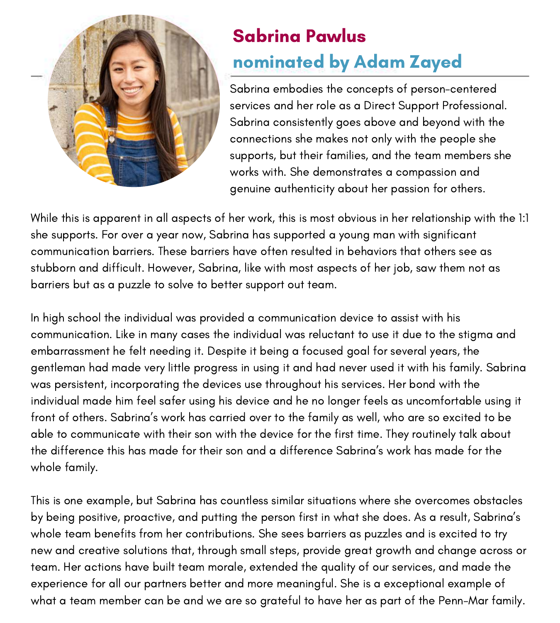

## Sabrina Pawlus nominated by Adam Zayed

Sabrina embodies the concepts of person-centered services and her role as a Direct Support Professional. Sabrina consistently goes above and beyond with the connections she makes not only with the people she supports, but their families, and the team members she works with. She demonstrates a compassion and genuine authenticity about her passion for others.

While this is apparent in all aspects of her work, this is most obvious in her relationship with the 1:1 she supports. For over a year now, Sabrina has supported a young man with significant communication barriers. These barriers have often resulted in behaviors that others see as stubborn and difficult. However, Sabrina, like with most aspects of her job, saw them not as barriers but as a puzzle to solve to better support out team.

In high school the individual was provided a communication device to assist with his communication. Like in many cases the individual was reluctant to use it due to the stigma and embarrassment he felt needing it. Despite it being a focused goal for several years, the gentleman had made very little progress in using it and had never used it with his family. Sabrina was persistent, incorporating the devices use throughout his services. Her bond with the individual made him feel safer using his device and he no longer feels as uncomfortable using it front of others. Sabrina's work has carried over to the family as well, who are so excited to be able to communicate with their son with the device for the first time. They routinely talk about the difference this has made for their son and a difference Sabrina's work has made for the whole family.

This is one example, but Sabrina has countless similar situations where she overcomes obstacles by being positive, proactive, and putting the person first in what she does. As a result, Sabrina's whole team benefits from her contributions. She sees barriers as puzzles and is excited to try new and creative solutions that, through small steps, provide great growth and change across or team. Her actions have built team morale, extended the quality of our services, and made the experience for all our partners better and more meaningful. She is a exceptional example of what a team member can be and we are so grateful to have her as part of the Penn-Mar family.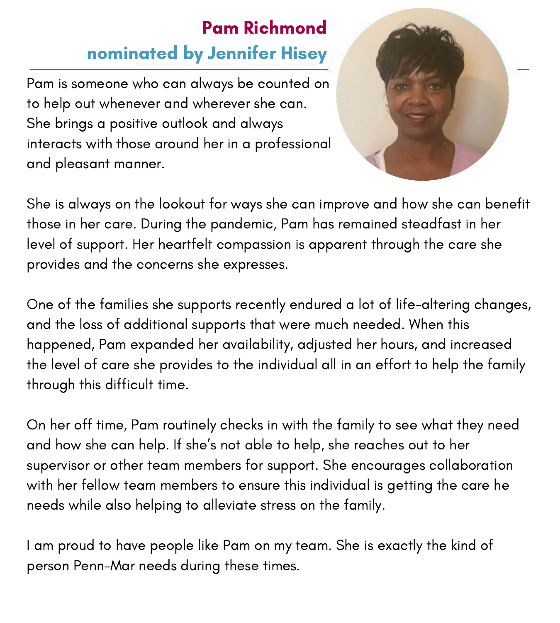#### Pam Richmond nominated by Jennifer Hisey

Pam is someone who can always be counted on to help out whenever and wherever she can. She brings a positive outlook and always interacts with those around her in a professional and pleasant manner.



She is always on the lookout for ways she can improve and how she can benefit those in her care. During the pandemic, Pam has remained steadfast in her level of support. Her heartfelt compassion is apparent through the care she provides and the concerns she expresses.

One of the families she supports recently endured a lot of life-altering changes, and the loss of additional supports that were much needed. When this happened, Pam expanded her availability, adjusted her hours, and increased the level of care she provides to the individual all in an effort to help the family through this difficult time.

On her off time, Pam routinely checks in with the family to see what they need and how she can help. If she's not able to help, she reaches out to her supervisor or other team members for support. She encourages collaboration with her fellow team members to ensure this individual is getting the care he needs while also helping to alleviate stress on the family.

I am proud to have people like Pam on my team. She is exactly the kind of person Penn-Mar needs during these times.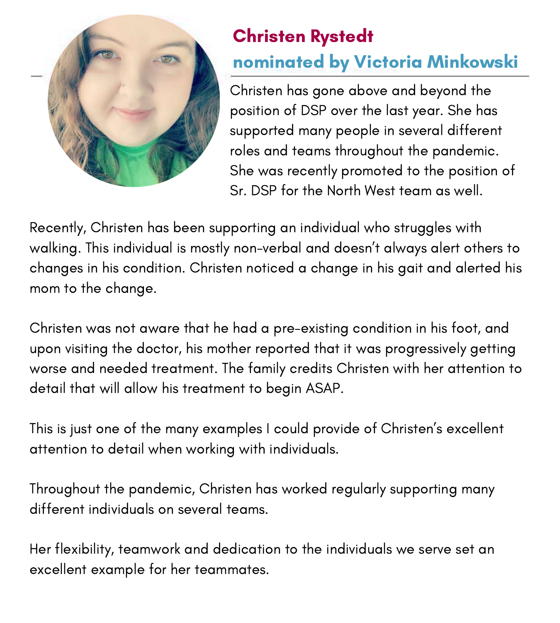

## Christen Rystedt nominated by Victoria Minkowski

Christen has gone above and beyond the position of DSP over the last year. She has supported many people in several different roles and teams throughout the pandemic. She was recently promoted to the position of Sr. DSP for the North West team as well.

Recently, Christen has been supporting an individual who struggles with walking. This individual is mostly non-verbal and doesn't always alert others to changes in his condition. Christen noticed a change in his gait and alerted his mom to the change.

Christen was not aware that he had a pre-existing condition in his foot, and upon visiting the doctor, his mother reported that it was progressively getting worse and needed treatment. The family credits Christen with her attention to detail that will allow his treatment to begin ASAP.

This is just one of the many examples I could provide of Christen's excellent attention to detail when working with individuals.

Throughout the pandemic, Christen has worked regularly supporting many different individuals on several teams.

Her flexibility, teamwork and dedication to the individuals we serve set an excellent example for her teammates.